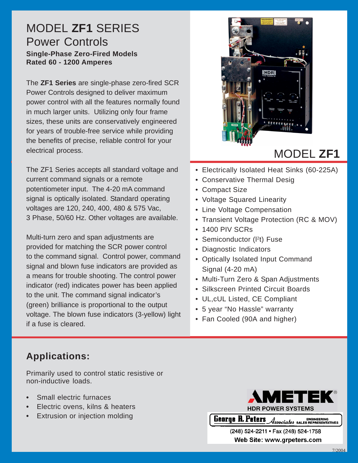#### MODEL **ZF1** SERIES Power Controls **Single-Phase Zero-Fired Models Rated 60 - 1200 Amperes**

The **ZF1 Series** are single-phase zero-fired SCR Power Controls designed to deliver maximum power control with all the features normally found in much larger units. Utilizing only four frame sizes, these units are conservatively engineered for years of trouble-free service while providing the benefits of precise, reliable control for your electrical process.

The ZF1 Series accepts all standard voltage and current command signals or a remote potentiometer input. The 4-20 mA command signal is optically isolated. Standard operating voltages are 120, 240, 400, 480 & 575 Vac, 3 Phase, 50/60 Hz. Other voltages are available.

Multi-turn zero and span adjustments are provided for matching the SCR power control to the command signal. Control power, command signal and blown fuse indicators are provided as a means for trouble shooting. The control power indicator (red) indicates power has been applied to the unit. The command signal indicator's (green) brilliance is proportional to the output voltage. The blown fuse indicators (3-yellow) light if a fuse is cleared.



# MODEL **ZF1**

- Electrically Isolated Heat Sinks (60-225A)
- Conservative Thermal Desig
- Compact Size
- Voltage Squared Linearity
- Line Voltage Compensation
- Transient Voltage Protection (RC & MOV)
- 1400 PIV SCRs
- Semiconductor (I<sup>2</sup>t) Fuse
- Diagnostic Indicators
- Optically Isolated Input Command Signal (4-20 mA)
- Multi-Turn Zero & Span Adjustments
- Silkscreen Printed Circuit Boards
- UL,cUL Listed, CE Compliant
- 5 year "No Hassle" warranty
- Fan Cooled (90A and higher)

# **Applications:**

Primarily used to control static resistive or non-inductive loads.

- **•** Small electric furnaces
- **•** Electric ovens, kilns & heaters
- **•** Extrusion or injection molding



**Toll Free: 1-888-PWR-CNTL 1-888-888-885-888-888-888-888** 

> (248) 524-2211 **· Fax** (248) 524-1758 Web Site: www.grpeters.com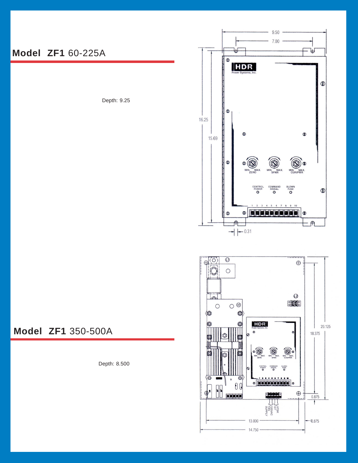

Depth: 9.25





#### **Model ZF1** 350-500A

Depth: 8.500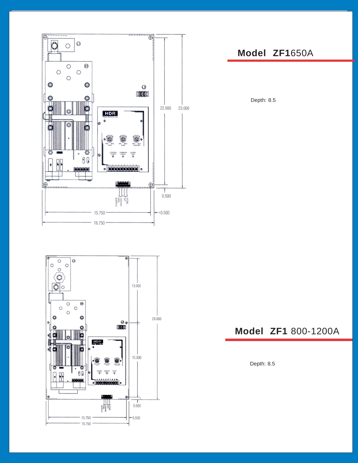



### **Model ZF1**650A

Depth: 8.5

## **Model ZF1** 800-1200A

Depth: 8.5